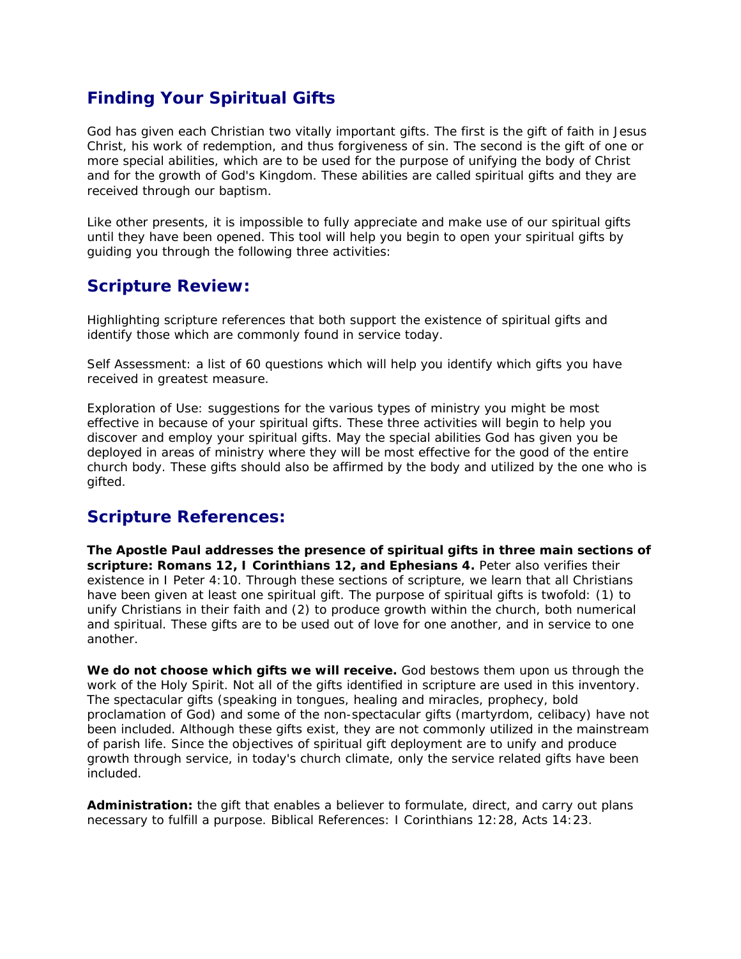# *Finding Your Spiritual Gifts*

God has given each Christian two vitally important gifts. The first is the gift of faith in Jesus Christ, his work of redemption, and thus forgiveness of sin. The second is the gift of one or more special abilities, which are to be used for the purpose of unifying the body of Christ and for the growth of God's Kingdom. These abilities are called spiritual gifts and they are received through our baptism.

Like other presents, it is impossible to fully appreciate and make use of our spiritual gifts until they have been opened. This tool will help you begin to open your spiritual gifts by guiding you through the following three activities:

# *Scripture Review:*

Highlighting scripture references that both support the existence of spiritual gifts and identify those which are commonly found in service today.

Self Assessment: a list of 60 questions which will help you identify which gifts you have received in greatest measure.

Exploration of Use: suggestions for the various types of ministry you might be most effective in because of your spiritual gifts. These three activities will begin to help you discover and employ your spiritual gifts. May the special abilities God has given you be deployed in areas of ministry where they will be most effective for the good of the entire church body. These gifts should also be affirmed by the body and utilized by the one who is gifted.

# *Scripture References:*

**The Apostle Paul addresses the presence of spiritual gifts in three main sections of scripture: Romans 12, I Corinthians 12, and Ephesians 4.** Peter also verifies their existence in I Peter 4:10. Through these sections of scripture, we learn that all Christians have been given at least one spiritual gift. The purpose of spiritual gifts is twofold: (1) to unify Christians in their faith and (2) to produce growth within the church, both numerical and spiritual. These gifts are to be used out of love for one another, and in service to one another.

**We do not choose which gifts we will receive.** God bestows them upon us through the work of the Holy Spirit. Not all of the gifts identified in scripture are used in this inventory. The spectacular gifts (speaking in tongues, healing and miracles, prophecy, bold proclamation of God) and some of the non-spectacular gifts (martyrdom, celibacy) have not been included. Although these gifts exist, they are not commonly utilized in the mainstream of parish life. Since the objectives of spiritual gift deployment are to unify and produce growth through service, in today's church climate, only the service related gifts have been included.

**Administration:** the gift that enables a believer to formulate, direct, and carry out plans necessary to fulfill a purpose. Biblical References: I Corinthians 12:28, Acts 14:23.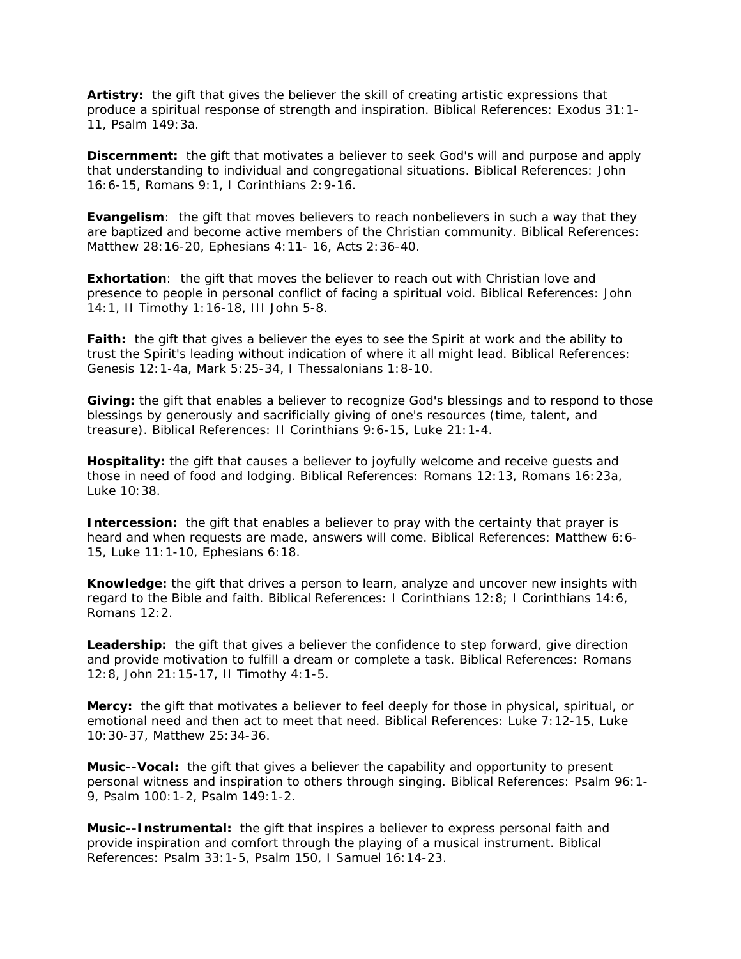**Artistry:** the gift that gives the believer the skill of creating artistic expressions that produce a spiritual response of strength and inspiration. Biblical References: Exodus 31:1- 11, Psalm 149:3a.

**Discernment:** the gift that motivates a believer to seek God's will and purpose and apply that understanding to individual and congregational situations. Biblical References: John 16:6-15, Romans 9:1, I Corinthians 2:9-16.

**Evangelism**: the gift that moves believers to reach nonbelievers in such a way that they are baptized and become active members of the Christian community. Biblical References: Matthew 28:16-20, Ephesians 4:11- 16, Acts 2:36-40.

**Exhortation:** the gift that moves the believer to reach out with Christian love and presence to people in personal conflict of facing a spiritual void. Biblical References: John 14:1, II Timothy 1:16-18, III John 5-8.

**Faith:** the gift that gives a believer the eyes to see the Spirit at work and the ability to trust the Spirit's leading without indication of where it all might lead. Biblical References: Genesis 12:1-4a, Mark 5:25-34, I Thessalonians 1:8-10.

**Giving:** the gift that enables a believer to recognize God's blessings and to respond to those blessings by generously and sacrificially giving of one's resources (time, talent, and treasure). Biblical References: II Corinthians 9:6-15, Luke 21:1-4.

**Hospitality:** the gift that causes a believer to joyfully welcome and receive guests and those in need of food and lodging. Biblical References: Romans 12:13, Romans 16:23a, Luke 10:38.

**Intercession:** the gift that enables a believer to pray with the certainty that prayer is heard and when requests are made, answers will come. Biblical References: Matthew 6:6- 15, Luke 11:1-10, Ephesians 6:18.

**Knowledge:** the gift that drives a person to learn, analyze and uncover new insights with regard to the Bible and faith. Biblical References: I Corinthians 12:8; I Corinthians 14:6, Romans 12:2.

**Leadership:** the gift that gives a believer the confidence to step forward, give direction and provide motivation to fulfill a dream or complete a task. Biblical References: Romans 12:8, John 21:15-17, II Timothy 4:1-5.

**Mercy:** the gift that motivates a believer to feel deeply for those in physical, spiritual, or emotional need and then act to meet that need. Biblical References: Luke 7:12-15, Luke 10:30-37, Matthew 25:34-36.

**Music--Vocal:** the gift that gives a believer the capability and opportunity to present personal witness and inspiration to others through singing. Biblical References: Psalm 96:1- 9, Psalm 100:1-2, Psalm 149:1-2.

**Music--Instrumental:** the gift that inspires a believer to express personal faith and provide inspiration and comfort through the playing of a musical instrument. Biblical References: Psalm 33:1-5, Psalm 150, I Samuel 16:14-23.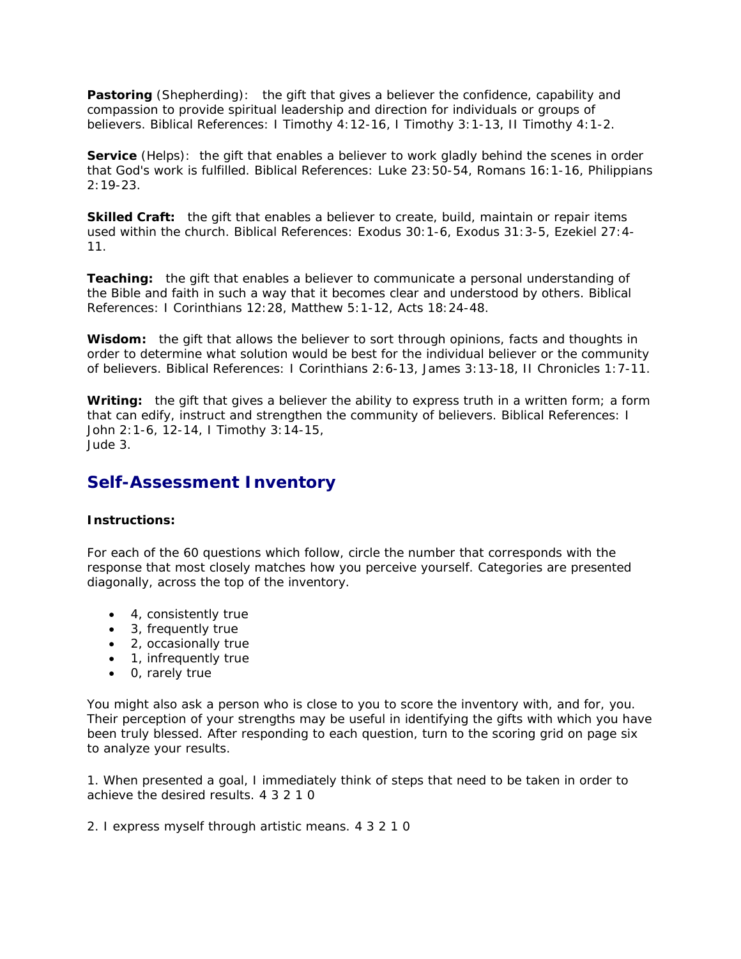**Pastoring** (Shepherding): the gift that gives a believer the confidence, capability and compassion to provide spiritual leadership and direction for individuals or groups of believers. Biblical References: I Timothy 4:12-16, I Timothy 3:1-13, II Timothy 4:1-2.

**Service** (Helps): the gift that enables a believer to work gladly behind the scenes in order that God's work is fulfilled. Biblical References: Luke 23:50-54, Romans 16:1-16, Philippians 2:19-23.

**Skilled Craft:** the gift that enables a believer to create, build, maintain or repair items used within the church. Biblical References: Exodus 30:1-6, Exodus 31:3-5, Ezekiel 27:4- 11.

**Teaching:** the gift that enables a believer to communicate a personal understanding of the Bible and faith in such a way that it becomes clear and understood by others. Biblical References: I Corinthians 12:28, Matthew 5:1-12, Acts 18:24-48.

**Wisdom:** the gift that allows the believer to sort through opinions, facts and thoughts in order to determine what solution would be best for the individual believer or the community of believers. Biblical References: I Corinthians 2:6-13, James 3:13-18, II Chronicles 1:7-11.

**Writing:** the gift that gives a believer the ability to express truth in a written form; a form that can edify, instruct and strengthen the community of believers. Biblical References: I John 2:1-6, 12-14, I Timothy 3:14-15, Jude 3.

# *Self-Assessment Inventory*

# **Instructions:**

For each of the 60 questions which follow, circle the number that corresponds with the response that most closely matches how you perceive yourself. Categories are presented diagonally, across the top of the inventory.

- 4, consistently true
- 3, frequently true
- 2, occasionally true
- 1, infrequently true
- 0, rarely true

You might also ask a person who is close to you to score the inventory with, and for, you. Their perception of your strengths may be useful in identifying the gifts with which you have been truly blessed. After responding to each question, turn to the scoring grid on page six to analyze your results.

1. When presented a goal, I immediately think of steps that need to be taken in order to achieve the desired results. 4 3 2 1 0

2. I express myself through artistic means. 4 3 2 1 0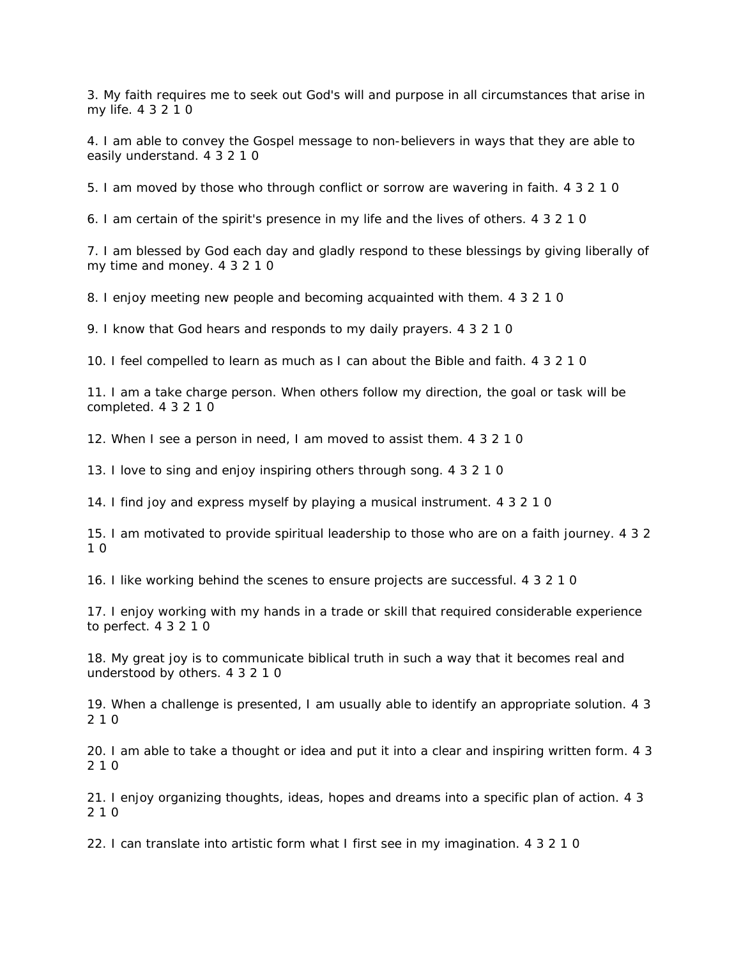3. My faith requires me to seek out God's will and purpose in all circumstances that arise in my life. 4 3 2 1 0

4. I am able to convey the Gospel message to non-believers in ways that they are able to easily understand. 4 3 2 1 0

5. I am moved by those who through conflict or sorrow are wavering in faith. 4 3 2 1 0

6. I am certain of the spirit's presence in my life and the lives of others. 4 3 2 1 0

7. I am blessed by God each day and gladly respond to these blessings by giving liberally of my time and money. 4 3 2 1 0

8. I enjoy meeting new people and becoming acquainted with them. 4 3 2 1 0

9. I know that God hears and responds to my daily prayers. 4 3 2 1 0

10. I feel compelled to learn as much as I can about the Bible and faith. 4 3 2 1 0

11. I am a take charge person. When others follow my direction, the goal or task will be completed. 4 3 2 1 0

12. When I see a person in need, I am moved to assist them. 4 3 2 1 0

13. I love to sing and enjoy inspiring others through song. 4 3 2 1 0

14. I find joy and express myself by playing a musical instrument. 4 3 2 1 0

15. I am motivated to provide spiritual leadership to those who are on a faith journey. 4 3 2 1 0

16. I like working behind the scenes to ensure projects are successful. 4 3 2 1 0

17. I enjoy working with my hands in a trade or skill that required considerable experience to perfect. 4 3 2 1 0

18. My great joy is to communicate biblical truth in such a way that it becomes real and understood by others. 4 3 2 1 0

19. When a challenge is presented, I am usually able to identify an appropriate solution. 4 3 2 1 0

20. I am able to take a thought or idea and put it into a clear and inspiring written form. 4 3 2 1 0

21. I enjoy organizing thoughts, ideas, hopes and dreams into a specific plan of action. 4 3 2 1 0

22. I can translate into artistic form what I first see in my imagination. 4 3 2 1 0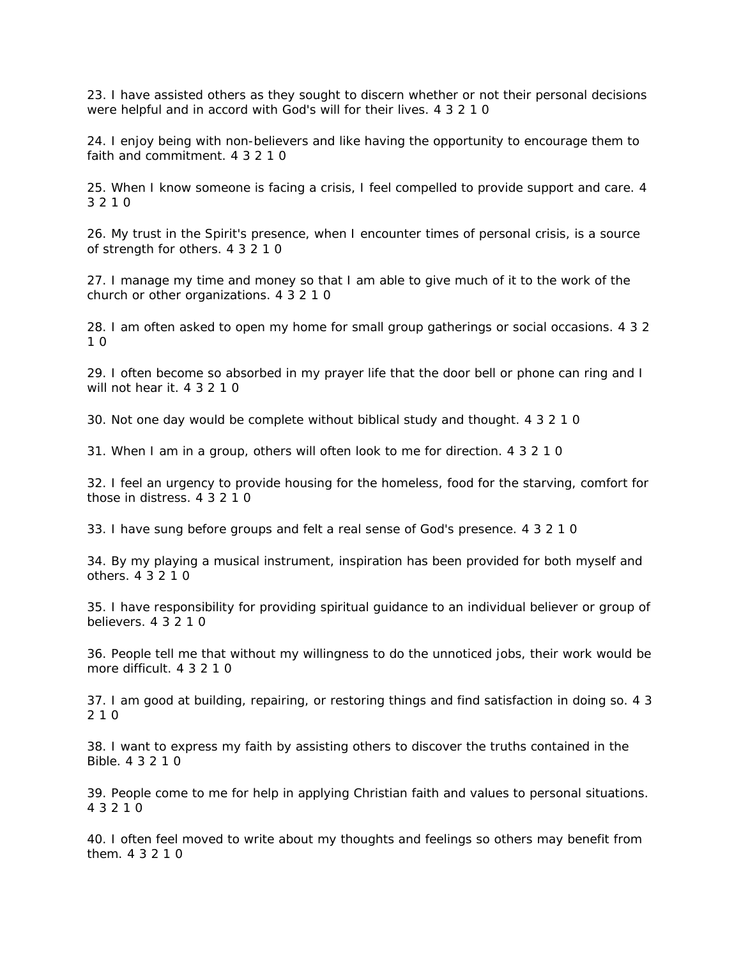23. I have assisted others as they sought to discern whether or not their personal decisions were helpful and in accord with God's will for their lives. 4 3 2 1 0

24. I enjoy being with non-believers and like having the opportunity to encourage them to faith and commitment. 4 3 2 1 0

25. When I know someone is facing a crisis, I feel compelled to provide support and care. 4 3 2 1 0

26. My trust in the Spirit's presence, when I encounter times of personal crisis, is a source of strength for others. 4 3 2 1 0

27. I manage my time and money so that I am able to give much of it to the work of the church or other organizations. 4 3 2 1 0

28. I am often asked to open my home for small group gatherings or social occasions. 4 3 2 1 0

29. I often become so absorbed in my prayer life that the door bell or phone can ring and I will not hear it. 4 3 2 1 0

30. Not one day would be complete without biblical study and thought. 4 3 2 1 0

31. When I am in a group, others will often look to me for direction. 4 3 2 1 0

32. I feel an urgency to provide housing for the homeless, food for the starving, comfort for those in distress. 4 3 2 1 0

33. I have sung before groups and felt a real sense of God's presence. 4 3 2 1 0

34. By my playing a musical instrument, inspiration has been provided for both myself and others. 4 3 2 1 0

35. I have responsibility for providing spiritual guidance to an individual believer or group of believers. 4 3 2 1 0

36. People tell me that without my willingness to do the unnoticed jobs, their work would be more difficult. 4 3 2 1 0

37. I am good at building, repairing, or restoring things and find satisfaction in doing so. 4 3 2 1 0

38. I want to express my faith by assisting others to discover the truths contained in the Bible. 4 3 2 1 0

39. People come to me for help in applying Christian faith and values to personal situations. 4 3 2 1 0

40. I often feel moved to write about my thoughts and feelings so others may benefit from them. 4 3 2 1 0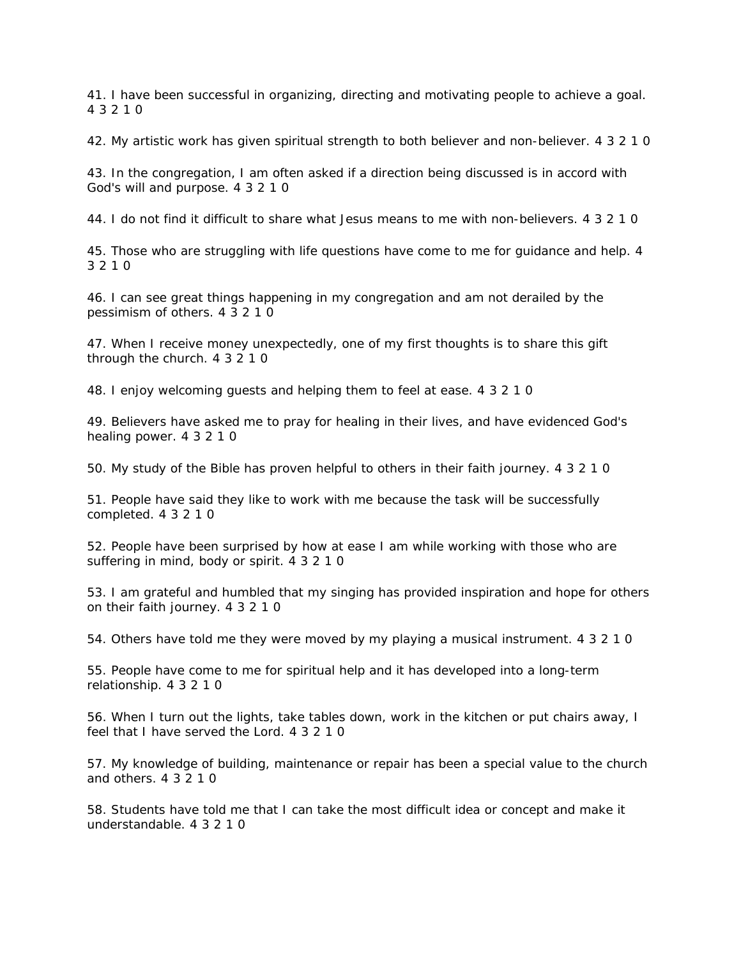41. I have been successful in organizing, directing and motivating people to achieve a goal. 4 3 2 1 0

42. My artistic work has given spiritual strength to both believer and non-believer. 4 3 2 1 0

43. In the congregation, I am often asked if a direction being discussed is in accord with God's will and purpose. 4 3 2 1 0

44. I do not find it difficult to share what Jesus means to me with non-believers. 4 3 2 1 0

45. Those who are struggling with life questions have come to me for guidance and help. 4 3 2 1 0

46. I can see great things happening in my congregation and am not derailed by the pessimism of others. 4 3 2 1 0

47. When I receive money unexpectedly, one of my first thoughts is to share this gift through the church. 4 3 2 1 0

48. I enjoy welcoming guests and helping them to feel at ease. 4 3 2 1 0

49. Believers have asked me to pray for healing in their lives, and have evidenced God's healing power. 4 3 2 1 0

50. My study of the Bible has proven helpful to others in their faith journey. 4 3 2 1 0

51. People have said they like to work with me because the task will be successfully completed. 4 3 2 1 0

52. People have been surprised by how at ease I am while working with those who are suffering in mind, body or spirit. 4 3 2 1 0

53. I am grateful and humbled that my singing has provided inspiration and hope for others on their faith journey. 4 3 2 1 0

54. Others have told me they were moved by my playing a musical instrument. 4 3 2 1 0

55. People have come to me for spiritual help and it has developed into a long-term relationship. 4 3 2 1 0

56. When I turn out the lights, take tables down, work in the kitchen or put chairs away, I feel that I have served the Lord. 4 3 2 1 0

57. My knowledge of building, maintenance or repair has been a special value to the church and others. 4 3 2 1 0

58. Students have told me that I can take the most difficult idea or concept and make it understandable. 4 3 2 1 0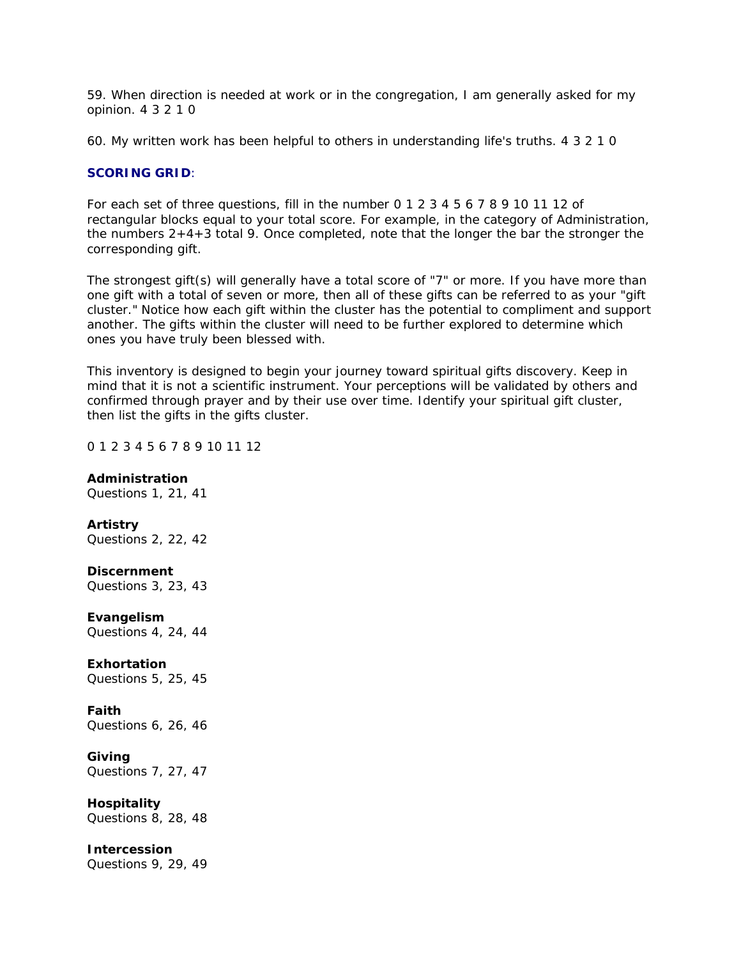59. When direction is needed at work or in the congregation, I am generally asked for my opinion. 4 3 2 1 0

60. My written work has been helpful to others in understanding life's truths. 4 3 2 1 0

## **SCORING GRID**:

For each set of three questions, fill in the number 0 1 2 3 4 5 6 7 8 9 10 11 12 of rectangular blocks equal to your total score. For example, in the category of Administration, the numbers  $2+4+3$  total 9. Once completed, note that the longer the bar the stronger the corresponding gift.

The strongest gift(s) will generally have a total score of "7" or more. If you have more than one gift with a total of seven or more, then all of these gifts can be referred to as your "gift cluster." Notice how each gift within the cluster has the potential to compliment and support another. The gifts within the cluster will need to be further explored to determine which ones you have truly been blessed with.

This inventory is designed to begin your journey toward spiritual gifts discovery. Keep in mind that it is not a scientific instrument. Your perceptions will be validated by others and confirmed through prayer and by their use over time. Identify your spiritual gift cluster, then list the gifts in the gifts cluster.

#### 0 1 2 3 4 5 6 7 8 9 10 11 12

#### **Administration**

Questions 1, 21, 41

#### **Artistry**

Questions 2, 22, 42

#### **Discernment**

Questions 3, 23, 43

#### **Evangelism**

Questions 4, 24, 44

#### **Exhortation**

Questions 5, 25, 45

#### **Faith**

Questions 6, 26, 46

#### **Giving**

Questions 7, 27, 47

# **Hospitality**

Questions 8, 28, 48

#### **Intercession**

Questions 9, 29, 49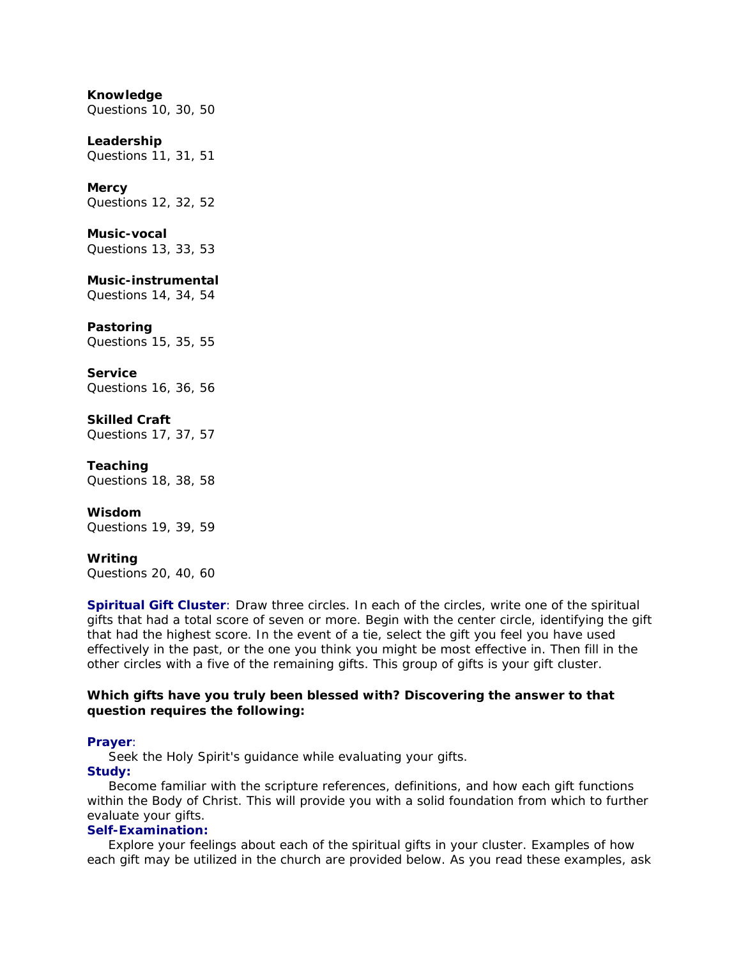#### **Knowledge**

Questions 10, 30, 50

#### **Leadership**

Questions 11, 31, 51

#### **Mercy**

Questions 12, 32, 52

#### **Music-vocal**

Questions 13, 33, 53

## **Music-instrumental**

Questions 14, 34, 54

#### **Pastoring**

Questions 15, 35, 55

#### **Service**

Questions 16, 36, 56

# **Skilled Craft**

Questions 17, 37, 57

#### **Teaching**

Questions 18, 38, 58

# **Wisdom**

Questions 19, 39, 59

#### **Writing**

Questions 20, 40, 60

**Spiritual Gift Cluster**: Draw three circles. In each of the circles, write one of the spiritual gifts that had a total score of seven or more. Begin with the center circle, identifying the gift that had the highest score. In the event of a tie, select the gift you feel you have used effectively in the past, or the one you think you might be most effective in. Then fill in the other circles with a five of the remaining gifts. This group of gifts is your gift cluster.

#### **Which gifts have you truly been blessed with? Discovering the answer to that question requires the following:**

#### **Prayer**:

Seek the Holy Spirit's guidance while evaluating your gifts.

### **Study:**

 Become familiar with the scripture references, definitions, and how each gift functions within the Body of Christ. This will provide you with a solid foundation from which to further evaluate your gifts.

# **Self-Examination:**

 Explore your feelings about each of the spiritual gifts in your cluster. Examples of how each gift may be utilized in the church are provided below. As you read these examples, ask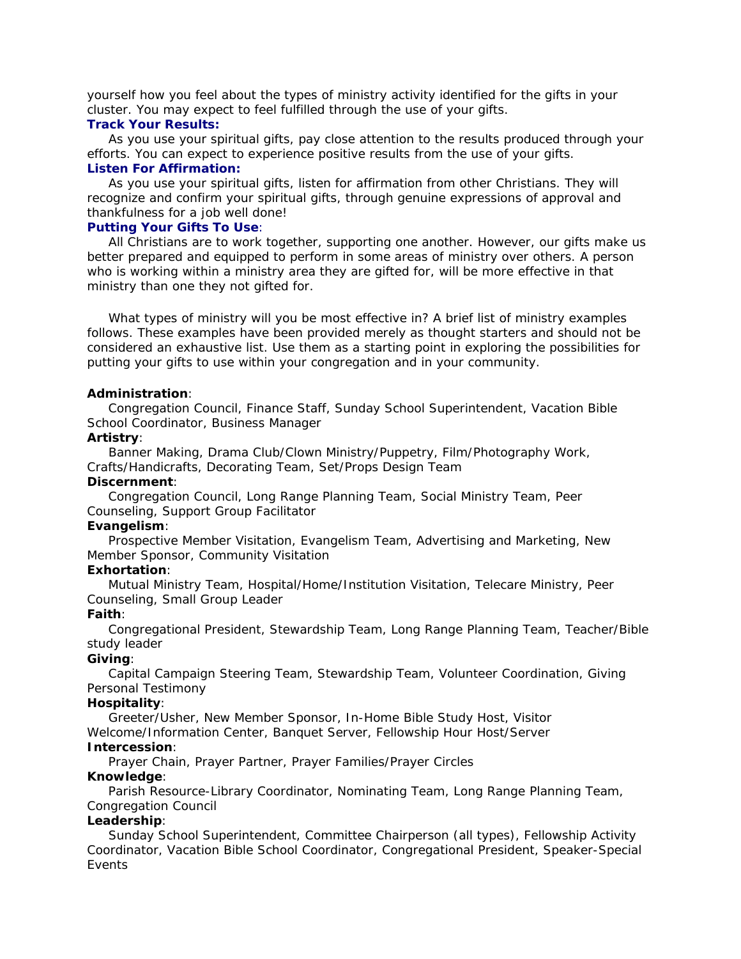yourself how you feel about the types of ministry activity identified for the gifts in your cluster. You may expect to feel fulfilled through the use of your gifts.

#### **Track Your Results:**

 As you use your spiritual gifts, pay close attention to the results produced through your efforts. You can expect to experience positive results from the use of your gifts. **Listen For Affirmation:**

 As you use your spiritual gifts, listen for affirmation from other Christians. They will recognize and confirm your spiritual gifts, through genuine expressions of approval and thankfulness for a job well done!

### **Putting Your Gifts To Use**:

 All Christians are to work together, supporting one another. However, our gifts make us better prepared and equipped to perform in some areas of ministry over others. A person who is working within a ministry area they are gifted for, will be more effective in that ministry than one they not gifted for.

 What types of ministry will you be most effective in? A brief list of ministry examples follows. These examples have been provided merely as thought starters and should not be considered an exhaustive list. Use them as a starting point in exploring the possibilities for putting your gifts to use within your congregation and in your community.

# **Administration**:

 Congregation Council, Finance Staff, Sunday School Superintendent, Vacation Bible School Coordinator, Business Manager

### **Artistry**:

 Banner Making, Drama Club/Clown Ministry/Puppetry, Film/Photography Work, Crafts/Handicrafts, Decorating Team, Set/Props Design Team

## **Discernment**:

 Congregation Council, Long Range Planning Team, Social Ministry Team, Peer Counseling, Support Group Facilitator

#### **Evangelism**:

 Prospective Member Visitation, Evangelism Team, Advertising and Marketing, New Member Sponsor, Community Visitation

# **Exhortation**:

 Mutual Ministry Team, Hospital/Home/Institution Visitation, Telecare Ministry, Peer Counseling, Small Group Leader

# **Faith**:

 Congregational President, Stewardship Team, Long Range Planning Team, Teacher/Bible study leader

# **Giving**:

 Capital Campaign Steering Team, Stewardship Team, Volunteer Coordination, Giving Personal Testimony

# **Hospitality**:

 Greeter/Usher, New Member Sponsor, In-Home Bible Study Host, Visitor Welcome/Information Center, Banquet Server, Fellowship Hour Host/Server **Intercession**:

Prayer Chain, Prayer Partner, Prayer Families/Prayer Circles

# **Knowledge**:

 Parish Resource-Library Coordinator, Nominating Team, Long Range Planning Team, Congregation Council

# **Leadership**:

 Sunday School Superintendent, Committee Chairperson (all types), Fellowship Activity Coordinator, Vacation Bible School Coordinator, Congregational President, Speaker-Special Events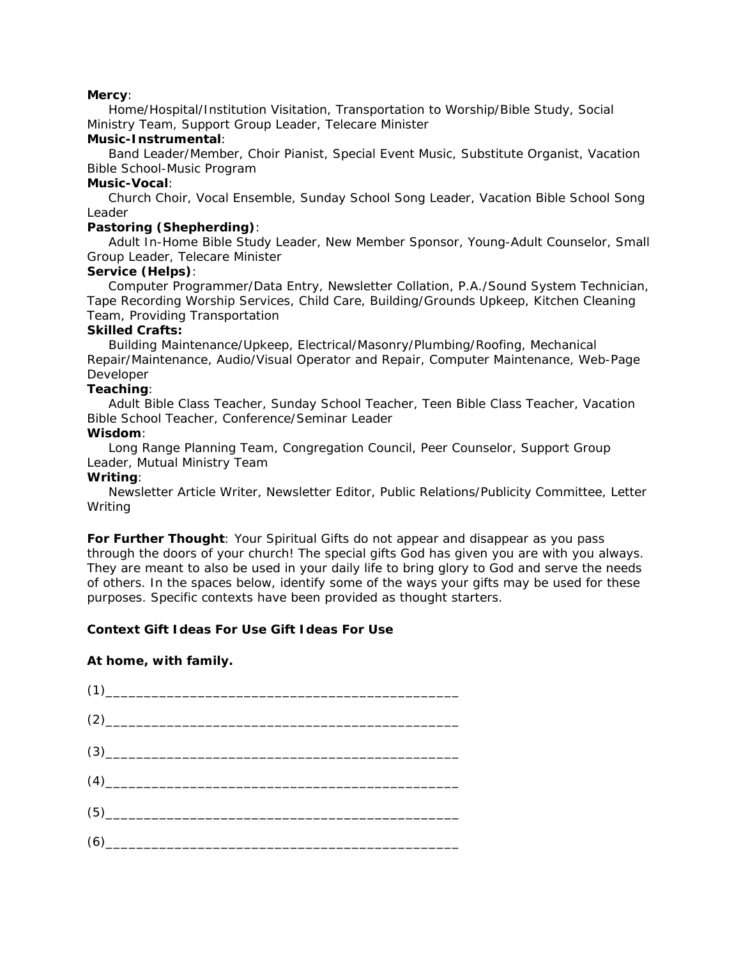#### **Mercy**:

 Home/Hospital/Institution Visitation, Transportation to Worship/Bible Study, Social Ministry Team, Support Group Leader, Telecare Minister

# **Music-Instrumental**:

 Band Leader/Member, Choir Pianist, Special Event Music, Substitute Organist, Vacation Bible School-Music Program

## **Music-Vocal**:

 Church Choir, Vocal Ensemble, Sunday School Song Leader, Vacation Bible School Song Leader

# **Pastoring (Shepherding)**:

 Adult In-Home Bible Study Leader, New Member Sponsor, Young-Adult Counselor, Small Group Leader, Telecare Minister

# **Service (Helps)**:

 Computer Programmer/Data Entry, Newsletter Collation, P.A./Sound System Technician, Tape Recording Worship Services, Child Care, Building/Grounds Upkeep, Kitchen Cleaning Team, Providing Transportation

### **Skilled Crafts:**

 Building Maintenance/Upkeep, Electrical/Masonry/Plumbing/Roofing, Mechanical Repair/Maintenance, Audio/Visual Operator and Repair, Computer Maintenance, Web-Page Developer

### **Teaching**:

 Adult Bible Class Teacher, Sunday School Teacher, Teen Bible Class Teacher, Vacation Bible School Teacher, Conference/Seminar Leader

# **Wisdom**:

 Long Range Planning Team, Congregation Council, Peer Counselor, Support Group Leader, Mutual Ministry Team

### **Writing**:

 Newsletter Article Writer, Newsletter Editor, Public Relations/Publicity Committee, Letter Writing

**For Further Thought**: Your Spiritual Gifts do not appear and disappear as you pass through the doors of your church! The special gifts God has given you are with you always. They are meant to also be used in your daily life to bring glory to God and serve the needs of others. In the spaces below, identify some of the ways your gifts may be used for these purposes. Specific contexts have been provided as thought starters.

# **Context Gift Ideas For Use Gift Ideas For Use**

# **At home, with family.**